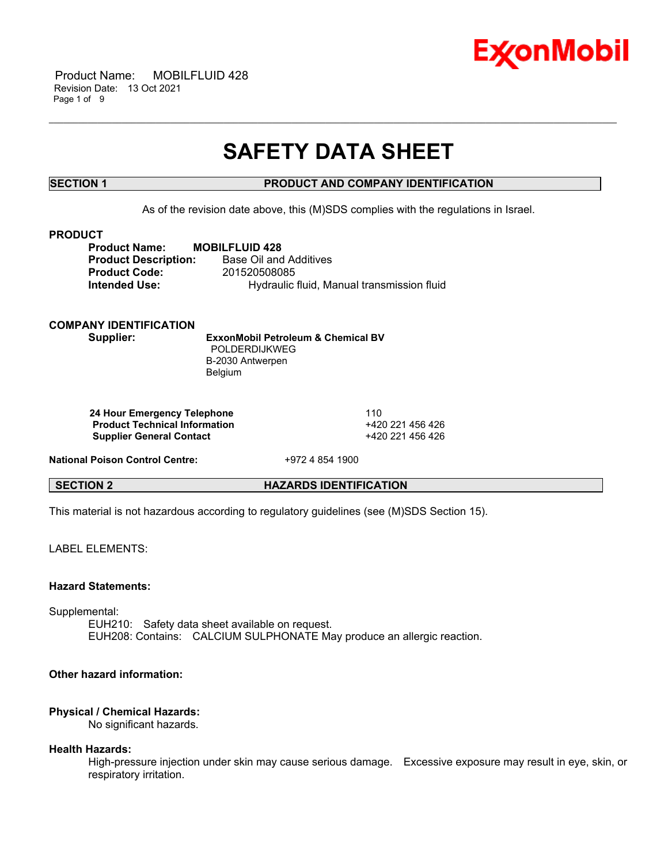

 Product Name: MOBILFLUID 428 Revision Date: 13 Oct 2021 Page 1 of 9

# **SAFETY DATA SHEET**

\_\_\_\_\_\_\_\_\_\_\_\_\_\_\_\_\_\_\_\_\_\_\_\_\_\_\_\_\_\_\_\_\_\_\_\_\_\_\_\_\_\_\_\_\_\_\_\_\_\_\_\_\_\_\_\_\_\_\_\_\_\_\_\_\_\_\_\_\_\_\_\_\_\_\_\_\_\_\_\_\_\_\_\_\_\_\_\_\_\_\_\_\_\_\_\_\_\_\_\_\_\_\_\_\_\_\_\_\_\_\_\_\_\_\_\_\_

# **SECTION 1 PRODUCT AND COMPANY IDENTIFICATION**

As of the revision date above, this (M)SDS complies with the regulations in Israel.

#### **PRODUCT**

**Product Name: MOBILFLUID 428 Product Description:** Base Oil and Additives **Product Code:** 201520508085 **Intended Use:** Hydraulic fluid, Manual transmission fluid

# **COMPANY IDENTIFICATION**

# **Supplier: ExxonMobil Petroleum & Chemical BV** POLDERDIJKWEG B-2030 Antwerpen Belgium

**24 Hour Emergency Telephone** 110 **Product Technical Information** +420 221 456 426 **Supplier General Contact** +420 221 456 426

**National Poison Control Centre:** +972 4 854 1900

**SECTION 2 HAZARDS IDENTIFICATION**

This material is not hazardous according to regulatory guidelines (see (M)SDS Section 15).

LABEL ELEMENTS<sup>.</sup>

# **Hazard Statements:**

Supplemental:

EUH210: Safety data sheet available on request. EUH208: Contains: CALCIUM SULPHONATE May produce an allergic reaction.

# **Other hazard information:**

# **Physical / Chemical Hazards:**

No significant hazards.

# **Health Hazards:**

High-pressure injection under skin may cause serious damage. Excessive exposure may result in eye, skin, or respiratory irritation.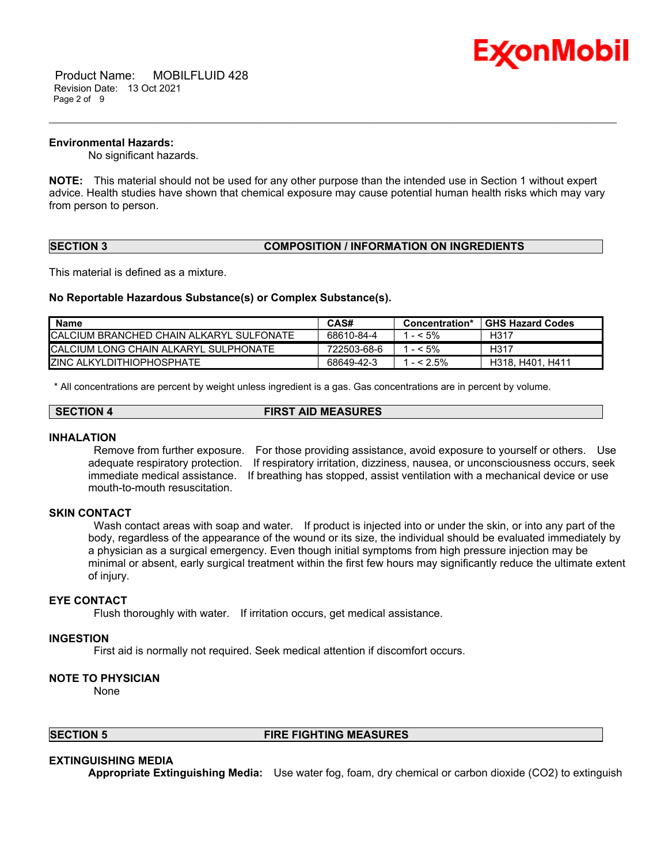

 Product Name: MOBILFLUID 428 Revision Date: 13 Oct 2021 Page 2 of 9

#### **Environmental Hazards:**

No significant hazards.

**NOTE:** This material should not be used for any other purpose than the intended use in Section 1 without expert advice. Health studies have shown that chemical exposure may cause potential human health risks which may vary from person to person.

\_\_\_\_\_\_\_\_\_\_\_\_\_\_\_\_\_\_\_\_\_\_\_\_\_\_\_\_\_\_\_\_\_\_\_\_\_\_\_\_\_\_\_\_\_\_\_\_\_\_\_\_\_\_\_\_\_\_\_\_\_\_\_\_\_\_\_\_\_\_\_\_\_\_\_\_\_\_\_\_\_\_\_\_\_\_\_\_\_\_\_\_\_\_\_\_\_\_\_\_\_\_\_\_\_\_\_\_\_\_\_\_\_\_\_\_\_

# **SECTION 3 COMPOSITION / INFORMATION ON INGREDIENTS**

This material is defined as a mixture.

#### **No Reportable Hazardous Substance(s) or Complex Substance(s).**

| <b>Name</b>                               | CAS#        | Concentration* | <b>GHS Hazard Codes</b> |
|-------------------------------------------|-------------|----------------|-------------------------|
| ICALCIUM BRANCHED CHAIN ALKARYL SULFONATE | 68610-84-4  | $- < 5\%$      | H317                    |
| ICALCIUM LONG CHAIN ALKARYL SULPHONATE    | 722503-68-6 | $- < 5\%$      | H317                    |
| <b>IZINC ALKYLDITHIOPHOSPHATE</b>         | 68649-42-3  | $- < 2.5\%$    | H318, H401, H411        |

\* All concentrations are percent by weight unless ingredient is a gas. Gas concentrations are in percent by volume.

| SECTION 4 | <b>FIRST AID MEASURES</b> |
|-----------|---------------------------|
|           |                           |

#### **INHALATION**

Remove from further exposure. For those providing assistance, avoid exposure to yourself or others. Use adequate respiratory protection. If respiratory irritation, dizziness, nausea, or unconsciousness occurs, seek immediate medical assistance. If breathing has stopped, assist ventilation with a mechanical device or use mouth-to-mouth resuscitation.

# **SKIN CONTACT**

Wash contact areas with soap and water. If product is injected into or under the skin, or into any part of the body, regardless of the appearance of the wound or its size, the individual should be evaluated immediately by a physician as a surgical emergency. Even though initial symptoms from high pressure injection may be minimal or absent, early surgical treatment within the first few hours may significantly reduce the ultimate extent of injury.

# **EYE CONTACT**

Flush thoroughly with water. If irritation occurs, get medical assistance.

#### **INGESTION**

First aid is normally not required. Seek medical attention if discomfort occurs.

# **NOTE TO PHYSICIAN**

None

# **SECTION 5 FIRE FIGHTING MEASURES**

# **EXTINGUISHING MEDIA**

**Appropriate Extinguishing Media:** Use water fog, foam, dry chemical or carbon dioxide (CO2) to extinguish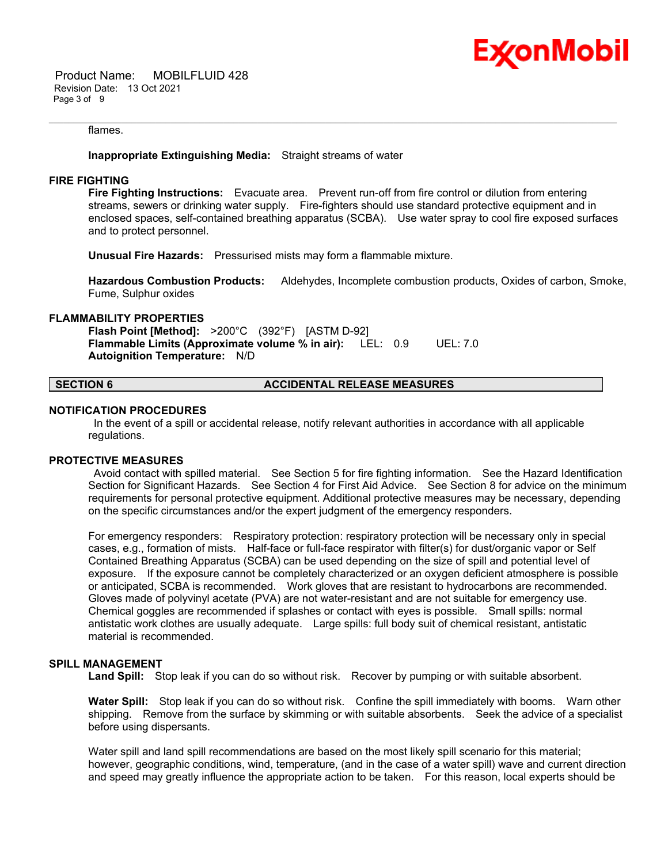

 Product Name: MOBILFLUID 428 Revision Date: 13 Oct 2021 Page 3 of 9

#### flames.

**Inappropriate Extinguishing Media:** Straight streams of water

#### **FIRE FIGHTING**

**Fire Fighting Instructions:** Evacuate area. Prevent run-off from fire control or dilution from entering streams, sewers or drinking water supply. Fire-fighters should use standard protective equipment and in enclosed spaces, self-contained breathing apparatus (SCBA). Use water spray to cool fire exposed surfaces and to protect personnel.

\_\_\_\_\_\_\_\_\_\_\_\_\_\_\_\_\_\_\_\_\_\_\_\_\_\_\_\_\_\_\_\_\_\_\_\_\_\_\_\_\_\_\_\_\_\_\_\_\_\_\_\_\_\_\_\_\_\_\_\_\_\_\_\_\_\_\_\_\_\_\_\_\_\_\_\_\_\_\_\_\_\_\_\_\_\_\_\_\_\_\_\_\_\_\_\_\_\_\_\_\_\_\_\_\_\_\_\_\_\_\_\_\_\_\_\_\_

**Unusual Fire Hazards:** Pressurised mists may form a flammable mixture.

**Hazardous Combustion Products:** Aldehydes, Incomplete combustion products, Oxides of carbon, Smoke, Fume, Sulphur oxides

# **FLAMMABILITY PROPERTIES**

**Flash Point [Method]:** >200°C (392°F) [ASTM D-92] **Flammable Limits (Approximate volume % in air):** LEL: 0.9 UEL: 7.0 **Autoignition Temperature:** N/D

# **SECTION 6 ACCIDENTAL RELEASE MEASURES**

#### **NOTIFICATION PROCEDURES**

In the event of a spill or accidental release, notify relevant authorities in accordance with all applicable regulations.

#### **PROTECTIVE MEASURES**

Avoid contact with spilled material. See Section 5 for fire fighting information. See the Hazard Identification Section for Significant Hazards. See Section 4 for First Aid Advice. See Section 8 for advice on the minimum requirements for personal protective equipment. Additional protective measures may be necessary, depending on the specific circumstances and/or the expert judgment of the emergency responders.

For emergency responders: Respiratory protection: respiratory protection will be necessary only in special cases, e.g., formation of mists. Half-face or full-face respirator with filter(s) for dust/organic vapor or Self Contained Breathing Apparatus (SCBA) can be used depending on the size of spill and potential level of exposure. If the exposure cannot be completely characterized or an oxygen deficient atmosphere is possible or anticipated, SCBA is recommended. Work gloves that are resistant to hydrocarbons are recommended. Gloves made of polyvinyl acetate (PVA) are not water-resistant and are not suitable for emergency use. Chemical goggles are recommended if splashes or contact with eyes is possible. Small spills: normal antistatic work clothes are usually adequate. Large spills: full body suit of chemical resistant, antistatic material is recommended.

#### **SPILL MANAGEMENT**

**Land Spill:** Stop leak if you can do so without risk. Recover by pumping or with suitable absorbent.

**Water Spill:** Stop leak if you can do so without risk. Confine the spill immediately with booms. Warn other shipping. Remove from the surface by skimming or with suitable absorbents. Seek the advice of a specialist before using dispersants.

Water spill and land spill recommendations are based on the most likely spill scenario for this material; however, geographic conditions, wind, temperature, (and in the case of a water spill) wave and current direction and speed may greatly influence the appropriate action to be taken. For this reason, local experts should be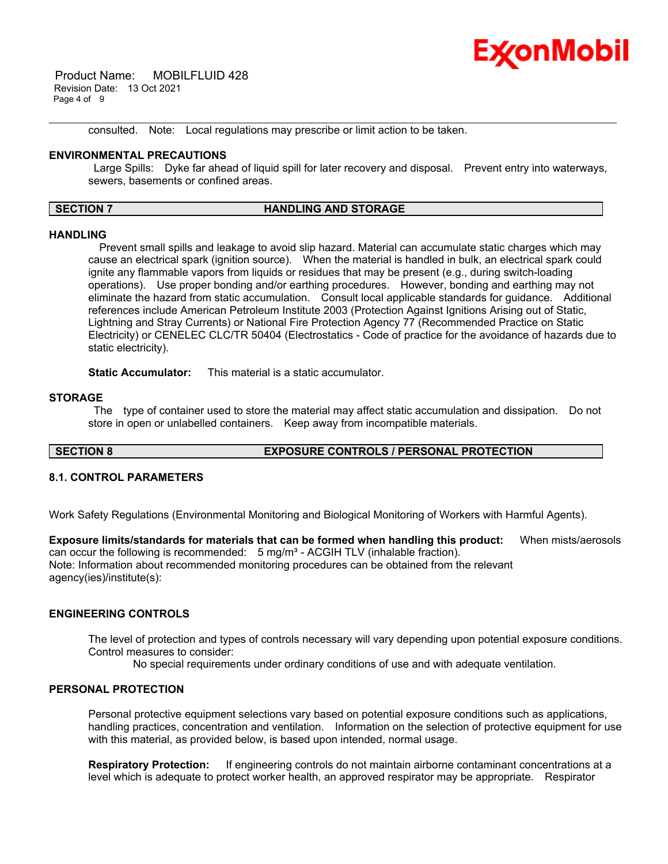

 Product Name: MOBILFLUID 428 Revision Date: 13 Oct 2021 Page 4 of 9

consulted. Note: Local regulations may prescribe or limit action to be taken.

#### **ENVIRONMENTAL PRECAUTIONS**

Large Spills: Dyke far ahead of liquid spill for later recovery and disposal. Prevent entry into waterways, sewers, basements or confined areas.

#### **SECTION 7 HANDLING AND STORAGE**

\_\_\_\_\_\_\_\_\_\_\_\_\_\_\_\_\_\_\_\_\_\_\_\_\_\_\_\_\_\_\_\_\_\_\_\_\_\_\_\_\_\_\_\_\_\_\_\_\_\_\_\_\_\_\_\_\_\_\_\_\_\_\_\_\_\_\_\_\_\_\_\_\_\_\_\_\_\_\_\_\_\_\_\_\_\_\_\_\_\_\_\_\_\_\_\_\_\_\_\_\_\_\_\_\_\_\_\_\_\_\_\_\_\_\_\_\_

# **HANDLING**

 Prevent small spills and leakage to avoid slip hazard. Material can accumulate static charges which may cause an electrical spark (ignition source). When the material is handled in bulk, an electrical spark could ignite any flammable vapors from liquids or residues that may be present (e.g., during switch-loading operations). Use proper bonding and/or earthing procedures. However, bonding and earthing may not eliminate the hazard from static accumulation. Consult local applicable standards for guidance. Additional references include American Petroleum Institute 2003 (Protection Against Ignitions Arising out of Static, Lightning and Stray Currents) or National Fire Protection Agency 77 (Recommended Practice on Static Electricity) or CENELEC CLC/TR 50404 (Electrostatics - Code of practice for the avoidance of hazards due to static electricity).

**Static Accumulator:** This material is a static accumulator.

#### **STORAGE**

The type of container used to store the material may affect static accumulation and dissipation. Do not store in open or unlabelled containers. Keep away from incompatible materials.

# **SECTION 8 EXPOSURE CONTROLS / PERSONAL PROTECTION**

# **8.1. CONTROL PARAMETERS**

Work Safety Regulations (Environmental Monitoring and Biological Monitoring of Workers with Harmful Agents).

**Exposure limits/standards for materials that can be formed when handling this product:** When mists/aerosols can occur the following is recommended: 5 mg/m<sup>3</sup> - ACGIH TLV (inhalable fraction). Note: Information about recommended monitoring procedures can be obtained from the relevant agency(ies)/institute(s):

# **ENGINEERING CONTROLS**

The level of protection and types of controls necessary will vary depending upon potential exposure conditions. Control measures to consider:

No special requirements under ordinary conditions of use and with adequate ventilation.

#### **PERSONAL PROTECTION**

Personal protective equipment selections vary based on potential exposure conditions such as applications, handling practices, concentration and ventilation. Information on the selection of protective equipment for use with this material, as provided below, is based upon intended, normal usage.

**Respiratory Protection:** If engineering controls do not maintain airborne contaminant concentrations at a level which is adequate to protect worker health, an approved respirator may be appropriate. Respirator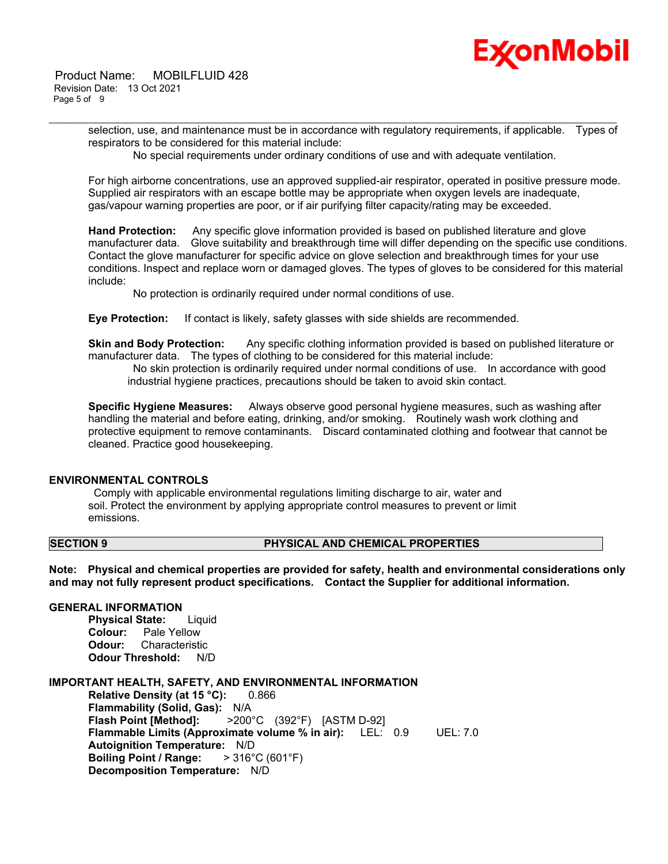

selection, use, and maintenance must be in accordance with regulatory requirements, if applicable. Types of respirators to be considered for this material include:

No special requirements under ordinary conditions of use and with adequate ventilation.

\_\_\_\_\_\_\_\_\_\_\_\_\_\_\_\_\_\_\_\_\_\_\_\_\_\_\_\_\_\_\_\_\_\_\_\_\_\_\_\_\_\_\_\_\_\_\_\_\_\_\_\_\_\_\_\_\_\_\_\_\_\_\_\_\_\_\_\_\_\_\_\_\_\_\_\_\_\_\_\_\_\_\_\_\_\_\_\_\_\_\_\_\_\_\_\_\_\_\_\_\_\_\_\_\_\_\_\_\_\_\_\_\_\_\_\_\_

For high airborne concentrations, use an approved supplied-air respirator, operated in positive pressure mode. Supplied air respirators with an escape bottle may be appropriate when oxygen levels are inadequate, gas/vapour warning properties are poor, or if air purifying filter capacity/rating may be exceeded.

**Hand Protection:** Any specific glove information provided is based on published literature and glove manufacturer data. Glove suitability and breakthrough time will differ depending on the specific use conditions. Contact the glove manufacturer for specific advice on glove selection and breakthrough times for your use conditions. Inspect and replace worn or damaged gloves. The types of gloves to be considered for this material include:

No protection is ordinarily required under normal conditions of use.

**Eye Protection:** If contact is likely, safety glasses with side shields are recommended.

**Skin and Body Protection:** Any specific clothing information provided is based on published literature or manufacturer data. The types of clothing to be considered for this material include:

No skin protection is ordinarily required under normal conditions of use. In accordance with good industrial hygiene practices, precautions should be taken to avoid skin contact.

**Specific Hygiene Measures:** Always observe good personal hygiene measures, such as washing after handling the material and before eating, drinking, and/or smoking. Routinely wash work clothing and protective equipment to remove contaminants. Discard contaminated clothing and footwear that cannot be cleaned. Practice good housekeeping.

# **ENVIRONMENTAL CONTROLS**

Comply with applicable environmental regulations limiting discharge to air, water and soil. Protect the environment by applying appropriate control measures to prevent or limit emissions.

# **SECTION 9 PHYSICAL AND CHEMICAL PROPERTIES**

**Note: Physical and chemical properties are provided for safety, health and environmental considerations only and may not fully represent product specifications. Contact the Supplier for additional information.**

# **GENERAL INFORMATION**

**Physical State:** Liquid **Colour:** Pale Yellow **Odour:** Characteristic **Odour Threshold:** N/D

**IMPORTANT HEALTH, SAFETY, AND ENVIRONMENTAL INFORMATION Relative Density (at 15 °C):** 0.866 **Flammability (Solid, Gas):** N/A **Flash Point [Method]:** >200°C (392°F) [ASTM D-92] **Flammable Limits (Approximate volume % in air):** LEL: 0.9 UEL: 7.0 **Autoignition Temperature:** N/D **Boiling Point / Range:** > 316°C (601°F) **Decomposition Temperature:** N/D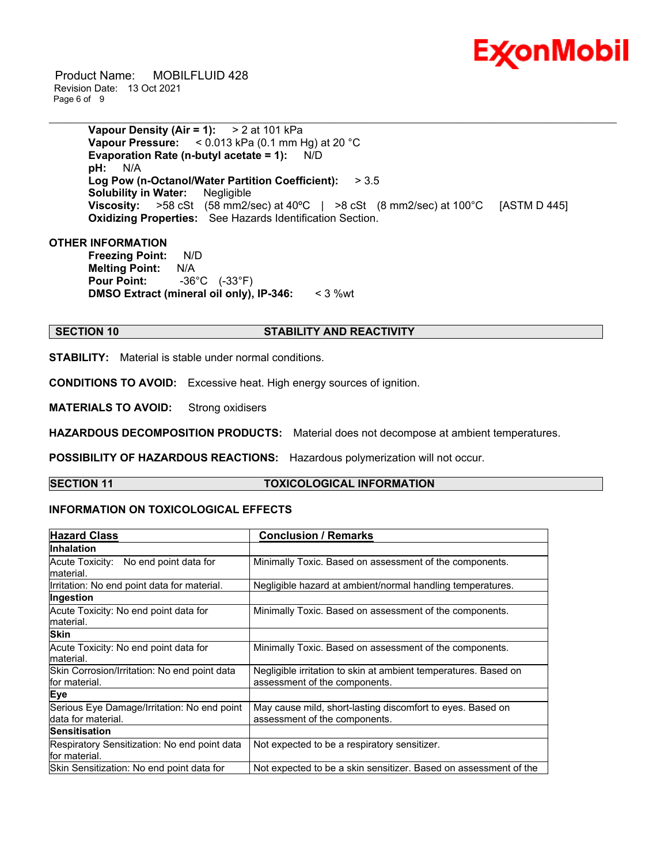

 Product Name: MOBILFLUID 428 Revision Date: 13 Oct 2021 Page 6 of 9

> **Vapour Density (Air = 1):** > 2 at 101 kPa **Vapour Pressure:** < 0.013 kPa (0.1 mm Hg) at 20 °C **Evaporation Rate (n-butyl acetate = 1):** N/D **pH:** N/A **Log Pow (n-Octanol/Water Partition Coefficient):** > 3.5 **Solubility in Water:** Negligible **Viscosity:** >58 cSt (58 mm2/sec) at 40°C | >8 cSt (8 mm2/sec) at 100°C [ASTM D 445] **Oxidizing Properties:** See Hazards Identification Section.

\_\_\_\_\_\_\_\_\_\_\_\_\_\_\_\_\_\_\_\_\_\_\_\_\_\_\_\_\_\_\_\_\_\_\_\_\_\_\_\_\_\_\_\_\_\_\_\_\_\_\_\_\_\_\_\_\_\_\_\_\_\_\_\_\_\_\_\_\_\_\_\_\_\_\_\_\_\_\_\_\_\_\_\_\_\_\_\_\_\_\_\_\_\_\_\_\_\_\_\_\_\_\_\_\_\_\_\_\_\_\_\_\_\_\_\_\_

# **OTHER INFORMATION**

**Freezing Point:** N/D **Melting Point:** N/A **Pour Point:** -36°C (-33°F) **DMSO Extract (mineral oil only), IP-346:** < 3 %wt

#### **SECTION 10 STABILITY AND REACTIVITY**

**STABILITY:** Material is stable under normal conditions.

**CONDITIONS TO AVOID:** Excessive heat. High energy sources of ignition.

**MATERIALS TO AVOID:** Strong oxidisers

**HAZARDOUS DECOMPOSITION PRODUCTS:** Material does not decompose at ambient temperatures.

**POSSIBILITY OF HAZARDOUS REACTIONS:** Hazardous polymerization will not occur.

#### **SECTION 11 TOXICOLOGICAL INFORMATION**

# **INFORMATION ON TOXICOLOGICAL EFFECTS**

| <b>Hazard Class</b>                          | <b>Conclusion / Remarks</b>                                      |  |
|----------------------------------------------|------------------------------------------------------------------|--|
| <b>Inhalation</b>                            |                                                                  |  |
| Acute Toxicity: No end point data for        | Minimally Toxic. Based on assessment of the components.          |  |
| lmaterial.                                   |                                                                  |  |
| Irritation: No end point data for material.  | Negligible hazard at ambient/normal handling temperatures.       |  |
| Ingestion                                    |                                                                  |  |
| Acute Toxicity: No end point data for        | Minimally Toxic. Based on assessment of the components.          |  |
| material.                                    |                                                                  |  |
| <b>Skin</b>                                  |                                                                  |  |
| Acute Toxicity: No end point data for        | Minimally Toxic. Based on assessment of the components.          |  |
| lmaterial.                                   |                                                                  |  |
| Skin Corrosion/Irritation: No end point data | Negligible irritation to skin at ambient temperatures. Based on  |  |
| lfor material.                               | assessment of the components.                                    |  |
| <b>Eye</b>                                   |                                                                  |  |
| Serious Eye Damage/Irritation: No end point  | May cause mild, short-lasting discomfort to eyes. Based on       |  |
| Idata for material.                          | assessment of the components.                                    |  |
| <b>Sensitisation</b>                         |                                                                  |  |
| Respiratory Sensitization: No end point data | Not expected to be a respiratory sensitizer.                     |  |
| lfor material.                               |                                                                  |  |
| Skin Sensitization: No end point data for    | Not expected to be a skin sensitizer. Based on assessment of the |  |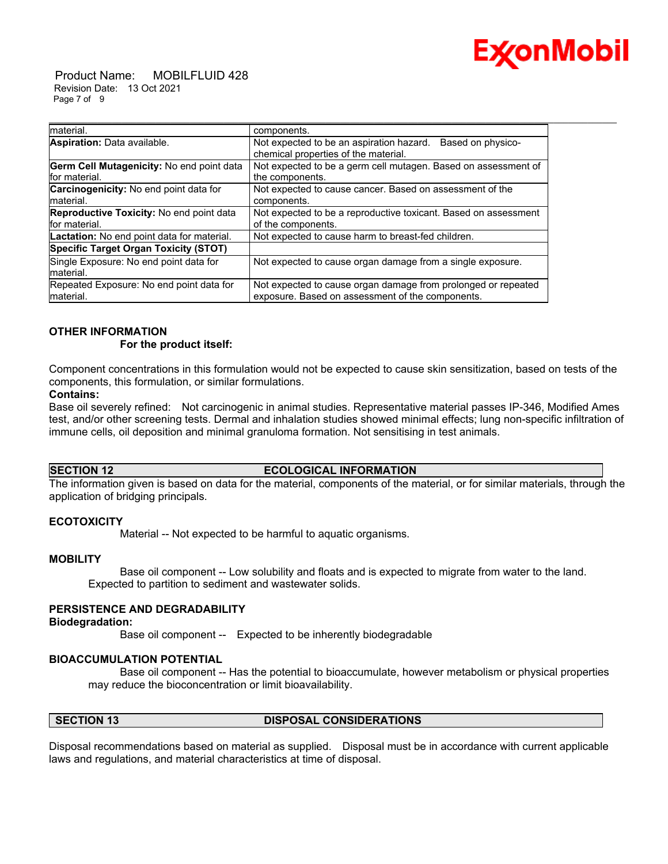

 Product Name: MOBILFLUID 428 Revision Date: 13 Oct 2021 Page 7 of 9

| Imaterial.                                        | components.                                                     |
|---------------------------------------------------|-----------------------------------------------------------------|
| Aspiration: Data available.                       | Not expected to be an aspiration hazard.<br>Based on physico-   |
|                                                   | chemical properties of the material.                            |
| Germ Cell Mutagenicity: No end point data         | Not expected to be a germ cell mutagen. Based on assessment of  |
| for material.                                     | the components.                                                 |
| Carcinogenicity: No end point data for            | Not expected to cause cancer. Based on assessment of the        |
| material.                                         | components.                                                     |
| Reproductive Toxicity: No end point data          | Not expected to be a reproductive toxicant. Based on assessment |
| for material.                                     | of the components.                                              |
| <b>Lactation:</b> No end point data for material. | Not expected to cause harm to breast-fed children.              |
| Specific Target Organ Toxicity (STOT)             |                                                                 |
| Single Exposure: No end point data for            | Not expected to cause organ damage from a single exposure.      |
| material.                                         |                                                                 |
| Repeated Exposure: No end point data for          | Not expected to cause organ damage from prolonged or repeated   |
| Imaterial.                                        | exposure. Based on assessment of the components.                |

#### **OTHER INFORMATION For the product itself:**

Component concentrations in this formulation would not be expected to cause skin sensitization, based on tests of the components, this formulation, or similar formulations.

\_\_\_\_\_\_\_\_\_\_\_\_\_\_\_\_\_\_\_\_\_\_\_\_\_\_\_\_\_\_\_\_\_\_\_\_\_\_\_\_\_\_\_\_\_\_\_\_\_\_\_\_\_\_\_\_\_\_\_\_\_\_\_\_\_\_\_\_\_\_\_\_\_\_\_\_\_\_\_\_\_\_\_\_\_\_\_\_\_\_\_\_\_\_\_\_\_\_\_\_\_\_\_\_\_\_\_\_\_\_\_\_\_\_\_\_\_

#### **Contains:**

Base oil severely refined: Not carcinogenic in animal studies. Representative material passes IP-346, Modified Ames test, and/or other screening tests. Dermal and inhalation studies showed minimal effects; lung non-specific infiltration of immune cells, oil deposition and minimal granuloma formation. Not sensitising in test animals.

#### **SECTION 12 ECOLOGICAL INFORMATION**

The information given is based on data for the material, components of the material, or for similar materials, through the application of bridging principals.

# **ECOTOXICITY**

Material -- Not expected to be harmful to aquatic organisms.

# **MOBILITY**

 Base oil component -- Low solubility and floats and is expected to migrate from water to the land. Expected to partition to sediment and wastewater solids.

# **PERSISTENCE AND DEGRADABILITY**

#### **Biodegradation:**

Base oil component -- Expected to be inherently biodegradable

#### **BIOACCUMULATION POTENTIAL**

 Base oil component -- Has the potential to bioaccumulate, however metabolism or physical properties may reduce the bioconcentration or limit bioavailability.

#### **SECTION 13 DISPOSAL CONSIDERATIONS**

Disposal recommendations based on material as supplied. Disposal must be in accordance with current applicable laws and regulations, and material characteristics at time of disposal.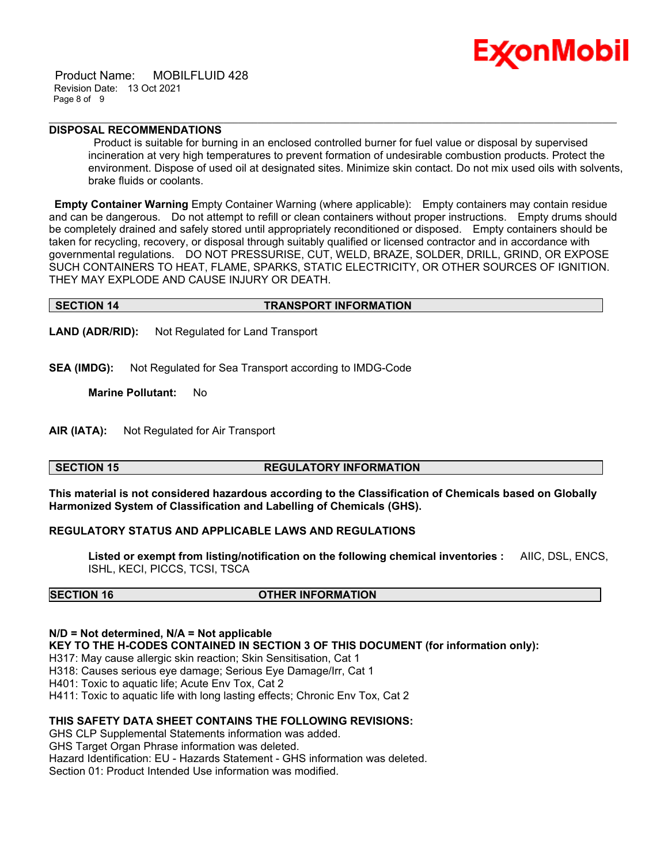Product Name: MOBILFLUID 428 Revision Date: 13 Oct 2021 Page 8 of 9



# **DISPOSAL RECOMMENDATIONS**

Product is suitable for burning in an enclosed controlled burner for fuel value or disposal by supervised incineration at very high temperatures to prevent formation of undesirable combustion products. Protect the environment. Dispose of used oil at designated sites. Minimize skin contact. Do not mix used oils with solvents, brake fluids or coolants.

**Empty Container Warning** Empty Container Warning (where applicable): Empty containers may contain residue and can be dangerous. Do not attempt to refill or clean containers without proper instructions. Empty drums should be completely drained and safely stored until appropriately reconditioned or disposed. Empty containers should be taken for recycling, recovery, or disposal through suitably qualified or licensed contractor and in accordance with governmental regulations. DO NOT PRESSURISE, CUT, WELD, BRAZE, SOLDER, DRILL, GRIND, OR EXPOSE SUCH CONTAINERS TO HEAT, FLAME, SPARKS, STATIC ELECTRICITY, OR OTHER SOURCES OF IGNITION. THEY MAY EXPLODE AND CAUSE INJURY OR DEATH.

\_\_\_\_\_\_\_\_\_\_\_\_\_\_\_\_\_\_\_\_\_\_\_\_\_\_\_\_\_\_\_\_\_\_\_\_\_\_\_\_\_\_\_\_\_\_\_\_\_\_\_\_\_\_\_\_\_\_\_\_\_\_\_\_\_\_\_\_\_\_\_\_\_\_\_\_\_\_\_\_\_\_\_\_\_\_\_\_\_\_\_\_\_\_\_\_\_\_\_\_\_\_\_\_\_\_\_\_\_\_\_\_\_\_\_\_\_

#### **SECTION 14 TRANSPORT INFORMATION**

**LAND (ADR/RID):** Not Regulated for Land Transport

**SEA (IMDG):** Not Regulated for Sea Transport according to IMDG-Code

**Marine Pollutant:** No

**AIR (IATA):** Not Regulated for Air Transport

# **SECTION 15 REGULATORY INFORMATION**

**This material is not considered hazardous according to the Classification of Chemicals based on Globally Harmonized System of Classification and Labelling of Chemicals (GHS).**

# **REGULATORY STATUS AND APPLICABLE LAWS AND REGULATIONS**

**Listed or exempt from listing/notification on the following chemical inventories :** AIIC, DSL, ENCS, ISHL, KECI, PICCS, TCSI, TSCA

# **SECTION 16 OTHER INFORMATION**

# **N/D = Not determined, N/A = Not applicable**

**KEY TO THE H-CODES CONTAINED IN SECTION 3 OF THIS DOCUMENT (for information only):**

- H317: May cause allergic skin reaction; Skin Sensitisation, Cat 1
- H318: Causes serious eye damage; Serious Eye Damage/Irr, Cat 1

H401: Toxic to aquatic life; Acute Env Tox, Cat 2

H411: Toxic to aquatic life with long lasting effects; Chronic Env Tox, Cat 2

# **THIS SAFETY DATA SHEET CONTAINS THE FOLLOWING REVISIONS:**

GHS CLP Supplemental Statements information was added.

GHS Target Organ Phrase information was deleted.

Hazard Identification: EU - Hazards Statement - GHS information was deleted.

Section 01: Product Intended Use information was modified.